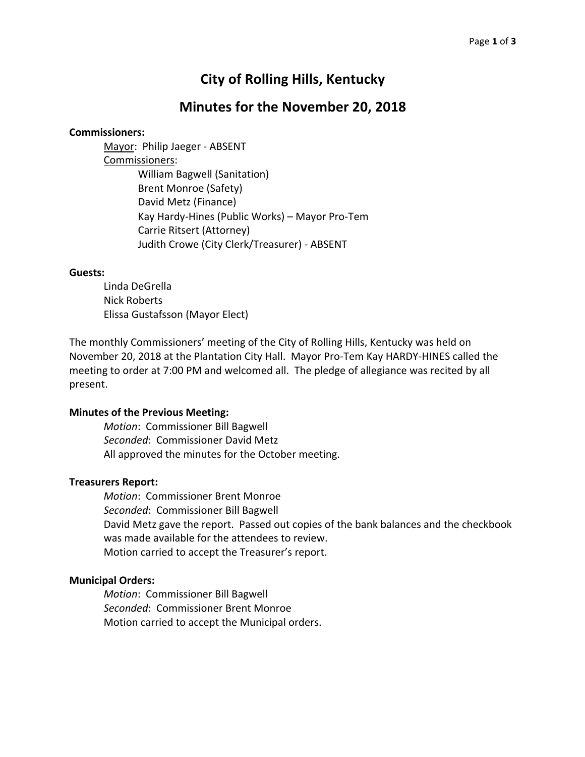# **City of Rolling Hills, Kentucky**

# **Minutes for the November 20, 2018**

### **Commissioners:**

Mayor: Philip Jaeger - ABSENT Commissioners: William Bagwell (Sanitation) Brent Monroe (Safety) David Metz (Finance) Kay Hardy-Hines (Public Works) – Mayor Pro-Tem Carrie Ritsert (Attorney) Judith Crowe (City Clerk/Treasurer) - ABSENT

#### **Guests:**

Linda DeGrella Nick Roberts Elissa Gustafsson (Mayor Elect)

The monthly Commissioners' meeting of the City of Rolling Hills, Kentucky was held on November 20, 2018 at the Plantation City Hall. Mayor Pro-Tem Kay HARDY-HINES called the meeting to order at 7:00 PM and welcomed all. The pledge of allegiance was recited by all present.

# **Minutes of the Previous Meeting:**

*Motion*: Commissioner Bill Bagwell **Seconded: Commissioner David Metz** All approved the minutes for the October meeting.

### **Treasurers Report:**

*Motion*: Commissioner Brent Monroe **Seconded: Commissioner Bill Bagwell** David Metz gave the report. Passed out copies of the bank balances and the checkbook was made available for the attendees to review. Motion carried to accept the Treasurer's report.

#### **Municipal Orders:**

*Motion*: Commissioner Bill Bagwell **Seconded: Commissioner Brent Monroe** Motion carried to accept the Municipal orders.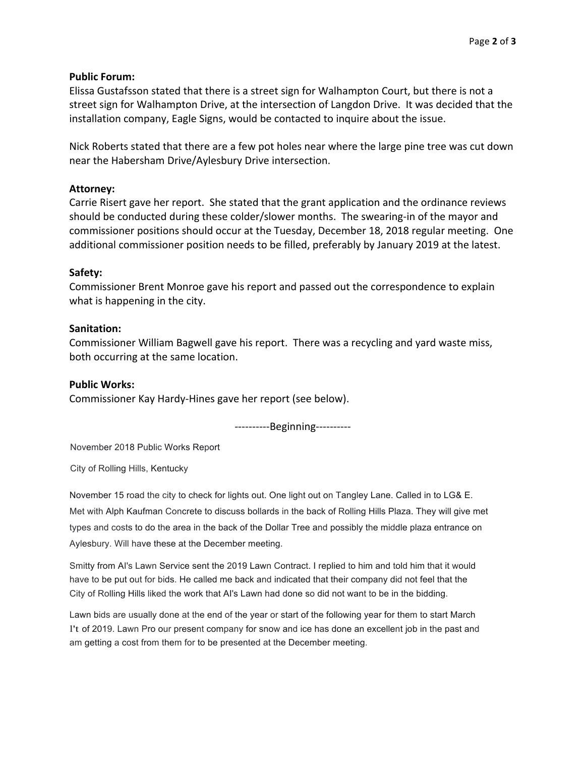# **Public Forum:**

Elissa Gustafsson stated that there is a street sign for Walhampton Court, but there is not a street sign for Walhampton Drive, at the intersection of Langdon Drive. It was decided that the installation company, Eagle Signs, would be contacted to inquire about the issue.

Nick Roberts stated that there are a few pot holes near where the large pine tree was cut down near the Habersham Drive/Aylesbury Drive intersection.

# **Attorney:**

Carrie Risert gave her report. She stated that the grant application and the ordinance reviews should be conducted during these colder/slower months. The swearing-in of the mayor and commissioner positions should occur at the Tuesday, December 18, 2018 regular meeting. One additional commissioner position needs to be filled, preferably by January 2019 at the latest.

# **Safety:**

Commissioner Brent Monroe gave his report and passed out the correspondence to explain what is happening in the city.

# **Sanitation:**

Commissioner William Bagwell gave his report. There was a recycling and yard waste miss, both occurring at the same location.

### **Public Works:**

Commissioner Kay Hardy-Hines gave her report (see below).

----------Beginning----------

November 2018 Public Works Report

City of Rolling Hills, Kentucky

November 15 road the city to check for lights out. One light out on Tangley Lane. Called in to LG& E. Met with Alph Kaufman Concrete to discuss bollards in the back of Rolling Hills Plaza. They will give met types and costs to do the area in the back of the Dollar Tree and possibly the middle plaza entrance on Aylesbury. Will have these at the December meeting.

Smitty from AI's Lawn Service sent the 2019 Lawn Contract. I replied to him and told him that it would have to be put out for bids. He called me back and indicated that their company did not feel that the City of Rolling Hills liked the work that AI's Lawn had done so did not want to be in the bidding.

Lawn bids are usually done at the end of the year or start of the following year for them to start March l't of 2019. Lawn Pro our present company for snow and ice has done an excellent job in the past and am getting a cost from them for to be presented at the December meeting.